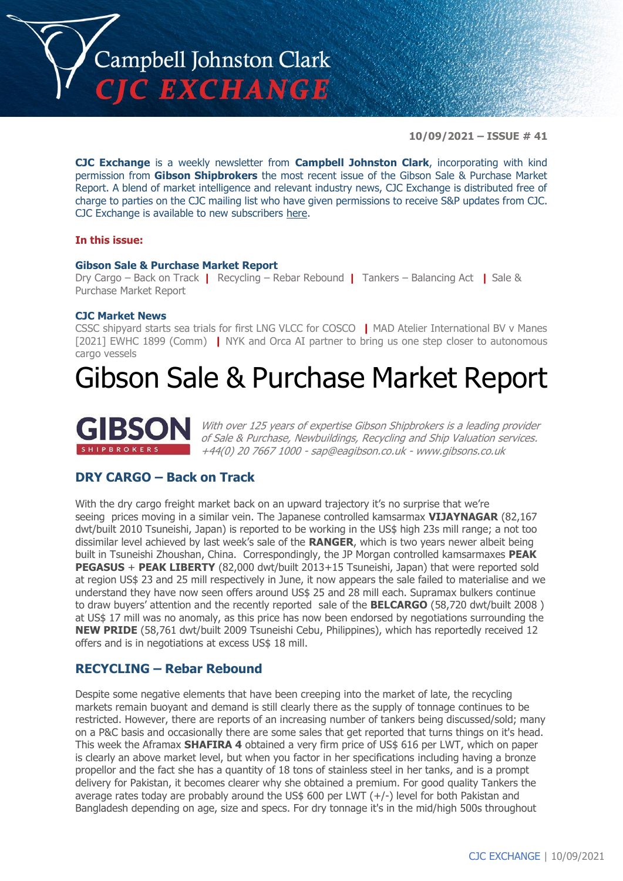

**10/09/2021 – ISSUE # 41**

**CJC Exchange** is a weekly newsletter from **Campbell Johnston Clark**, incorporating with kind permission from **Gibson Shipbrokers** the most recent issue of the Gibson Sale & Purchase Market Report. A blend of market intelligence and relevant industry news, CJC Exchange is distributed free of charge to parties on the CJC mailing list who have given permissions to receive S&P updates from CJC. CJC Exchange is available to new subscribers [here.](mailto:jamesc@cjclaw.com?subject=CJC%20Exchange%20sign-up)

#### **In this issue:**

#### **Gibson Sale & Purchase Market Report**

Dry Cargo – Back on Track **|** Recycling – Rebar Rebound **|** Tankers – Balancing Act **|** Sale & Purchase Market Report

#### **CJC Market News**

CSSC shipyard starts sea trials for first LNG VLCC for COSCO **|** MAD Atelier International BV v Manes [2021] EWHC 1899 (Comm) **|** NYK and Orca AI partner to bring us one step closer to autonomous cargo vessels

# Gibson Sale & Purchase Market Report



With over 125 years of expertise Gibson Shipbrokers is a leading provider of Sale & Purchase, Newbuildings, Recycling and Ship Valuation services. +44(0) 20 7667 1000 - [sap@eagibson.co.uk](mailto:sap@eagibson.co.uk) - [www.gibsons.co.uk](https://protect-eu.mimecast.com/s/VO6nCGZzRS60KqcK1jQh/)

# **DRY CARGO – Back on Track**

With the dry cargo freight market back on an upward trajectory it's no surprise that we're seeing prices moving in a similar vein. The Japanese controlled kamsarmax **VIJAYNAGAR** (82,167 dwt/built 2010 Tsuneishi, Japan) is reported to be working in the US\$ high 23s mill range; a not too dissimilar level achieved by last week's sale of the **RANGER**, which is two years newer albeit being built in Tsuneishi Zhoushan, China. Correspondingly, the JP Morgan controlled kamsarmaxes **PEAK PEGASUS** + **PEAK LIBERTY** (82,000 dwt/built 2013+15 Tsuneishi, Japan) that were reported sold at region US\$ 23 and 25 mill respectively in June, it now appears the sale failed to materialise and we understand they have now seen offers around US\$ 25 and 28 mill each. Supramax bulkers continue to draw buyers' attention and the recently reported sale of the **BELCARGO** (58,720 dwt/built 2008 ) at US\$ 17 mill was no anomaly, as this price has now been endorsed by negotiations surrounding the **NEW PRIDE** (58,761 dwt/built 2009 Tsuneishi Cebu, Philippines), which has reportedly received 12 offers and is in negotiations at excess US\$ 18 mill.

#### **RECYCLING – Rebar Rebound**

Despite some negative elements that have been creeping into the market of late, the recycling markets remain buoyant and demand is still clearly there as the supply of tonnage continues to be restricted. However, there are reports of an increasing number of tankers being discussed/sold; many on a P&C basis and occasionally there are some sales that get reported that turns things on it's head. This week the Aframax **SHAFIRA 4** obtained a very firm price of US\$ 616 per LWT, which on paper is clearly an above market level, but when you factor in her specifications including having a bronze propellor and the fact she has a quantity of 18 tons of stainless steel in her tanks, and is a prompt delivery for Pakistan, it becomes clearer why she obtained a premium. For good quality Tankers the average rates today are probably around the US\$ 600 per LWT (+/-) level for both Pakistan and Bangladesh depending on age, size and specs. For dry tonnage it's in the mid/high 500s throughout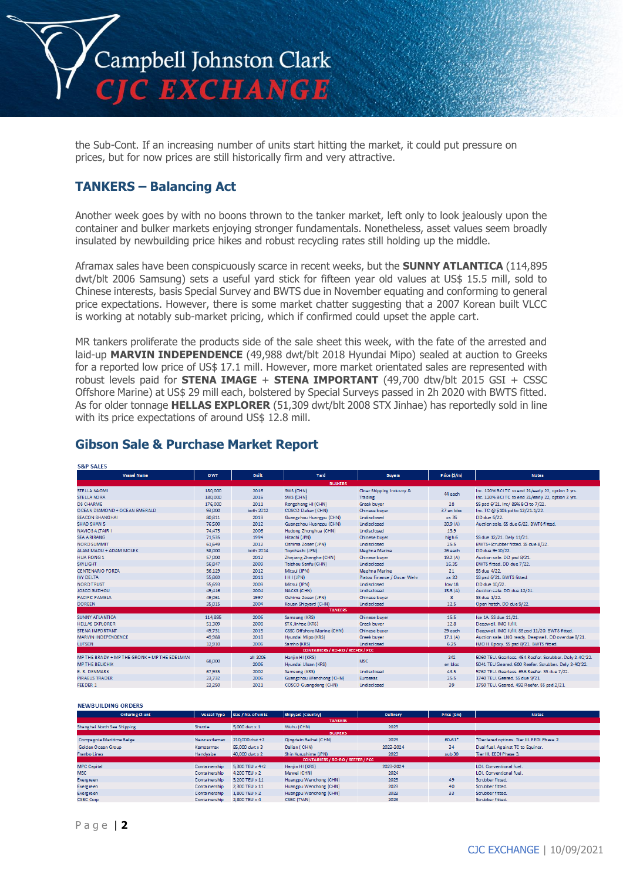

the Sub-Cont. If an increasing number of units start hitting the market, it could put pressure on prices, but for now prices are still historically firm and very attractive.

### **TANKERS – Balancing Act**

Another week goes by with no boons thrown to the tanker market, left only to look jealously upon the container and bulker markets enjoying stronger fundamentals. Nonetheless, asset values seem broadly insulated by newbuilding price hikes and robust recycling rates still holding up the middle.

Aframax sales have been conspicuously scarce in recent weeks, but the **SUNNY ATLANTICA** (114,895 dwt/blt 2006 Samsung) sets a useful yard stick for fifteen year old values at US\$ 15.5 mill, sold to Chinese interests, basis Special Survey and BWTS due in November equating and conforming to general price expectations. However, there is some market chatter suggesting that a 2007 Korean built VLCC is working at notably sub-market pricing, which if confirmed could upset the apple cart.

MR tankers proliferate the products side of the sale sheet this week, with the fate of the arrested and laid-up **MARVIN INDEPENDENCE** (49,988 dwt/blt 2018 Hyundai Mipo) sealed at auction to Greeks for a reported low price of US\$ 17.1 mill. However, more market orientated sales are represented with robust levels paid for **STENA IMAGE** + **STENA IMPORTANT** (49,700 dtw/blt 2015 GSI + CSSC Offshore Marine) at US\$ 29 mill each, bolstered by Special Surveys passed in 2h 2020 with BWTS fitted. As for older tonnage **HELLAS EXPLORER** (51,309 dwt/blt 2008 STX Jinhae) has reportedly sold in line with its price expectations of around US\$ 12.8 mill.

### **Gibson Sale & Purchase Market Report**

| <b>S&amp;P SALES</b>                         |                    |              |                                          |                                      |                                                         |                                                                                                        |
|----------------------------------------------|--------------------|--------------|------------------------------------------|--------------------------------------|---------------------------------------------------------|--------------------------------------------------------------------------------------------------------|
| <b>Vessel Name</b>                           | <b>DWT</b>         | <b>Built</b> | Yard                                     | <b>Buyers</b>                        | Price (S/m)                                             | <b>Notes</b>                                                                                           |
|                                              |                    |              | <b>BULKERS</b>                           |                                      |                                                         |                                                                                                        |
| STELLA NAOMI<br><b>STELLA NORA</b>           | 180,000<br>180,000 | 2016<br>2016 | SWS (CHN)<br>SWS (CHN)                   | Ciner Shipping Industry &<br>Trading | 44 each                                                 | Inc. 120% BCITC to end 21/early 22, option 2 yrs.<br>Inc. 120% BCITC to end 21/early 22, option 2 yrs. |
| <b>DS CHARME</b>                             | 176,000            | 2011         | Rongsheng HI (CHN)                       | Greek buyer                          | 28                                                      | SS psd 6/21. Inc/ 89% BCI to 7/22.                                                                     |
| OCEAN DIAMOND + OCEAN EMERALD                | 93,000             | both 2012    | COSCO Dalian (CHN)                       | Chinese buyer                        | 37 en bloc                                              | Inc. TC @ \$10k pd to 12/21-1/22.                                                                      |
| <b>SEACON SHANGHAI</b>                       | 80,811             | 2019         | Guangzhou Huangpu (CHN)                  | Undisclosed                          | xs 35                                                   | DD due 6/22.                                                                                           |
| SHAO SHAN 5                                  | 76,500             | 2012         | Guangzhou Huangpu (CHN)                  | Undisclosed                          | 20.9(A)                                                 | Auction sale. SS due 6/22. BWTS fitted.                                                                |
| <b>NAVIOS ALTAIR I</b>                       | 74,475             | 2006         | Hudong Zhonghua (CHN)                    | Undisclosed                          | 13.9                                                    |                                                                                                        |
| <b>SEA ARIRANG</b>                           | 71,535             | 1994         | Hitachi (JPN)                            | Chinese buyer                        | high 6                                                  | SS due 12/21. Dely 11/21.                                                                              |
| <b>NORD SUMMIT</b>                           | 61,649             | 2012         | Oshima Zosen (JPN)                       | Undisclosed                          | 25.5                                                    | BWTS+Scrubber fitted. SS due 8/22.                                                                     |
| ALAM MADU + ADAM MOLEK                       | 58,000             | both 2014    | Toyohashi (JPN)                          | <b>Meghna Marine</b>                 | 26 each                                                 | DD due 9+10/22.                                                                                        |
| <b>HUA RONG 1</b>                            | 57,000             | 2012         | Zhejiang Zhenghe (CHN)                   | Chinese buyer                        | 19.2(A)                                                 | Auction sale. DD psd 8/21.                                                                             |
| <b>SKY LIGHT</b>                             | 56,847             | 2009         | Taizhou Sanfu (CHN)                      | Undisclosed                          | 16.35                                                   | BWTS fitted. DD due 7/22.                                                                              |
| <b>CENTENARIO FORZA</b>                      | 56,129             | 2012         | Mitsui (JPN)                             | <b>Meghna Marine</b>                 | 21                                                      | SS due 4/22.                                                                                           |
| <b>IVY DELTA</b>                             | 55,869             | 2011         | TH L(JPN)                                | Platou Finance / Oscar Wehr          | xs 20                                                   | SS psd 6/21. BWTS fitted.                                                                              |
| <b>NORD TRUST</b>                            | 55,693             | 2009         | Mitsui (JPN)                             | Undisclosed                          | low 18                                                  | DD due 10/22.                                                                                          |
| JOSCO SUZHOU                                 | 49,416             | 2004         | <b>NACKS (CHN)</b>                       | Undisclosed                          | 13.5(A)                                                 | Auction sale. DD due 12/21.                                                                            |
| PACIFIC PAMELA                               | 49,061             | 1997         | Oshima Zosen (JPN)                       | Chinese buver                        | 8                                                       | SS due 1/22.                                                                                           |
| <b>DOREEN</b>                                | 35,015             | 2004         | Kouan Shipyard (CHN)                     | Undisclosed                          | 12.5                                                    | Open hatch. DD due 9/22.                                                                               |
|                                              |                    |              | <b>TANKERS</b>                           |                                      |                                                         |                                                                                                        |
| <b>SUNNY AT LANTICA</b>                      | 114,895            | 2006         | Samsung (KRS)                            | Chinese buyer                        | 15.5                                                    | Ice 1A. SS due 11/21.                                                                                  |
| <b>HELLAS EXPLORER</b>                       | 51,309             | 2008         | STX Jinhae (KRS)                         | Greek buver                          | 12.8                                                    | Deepwell. IMO II/III.                                                                                  |
| <b>STENA IMPORTANT</b>                       | 49,731             | 2015         | CSSC Offshore Marine (CHN)               | Chinese buyer                        | 29 each                                                 | Deepwell, IMO II/III. SS psd 11/20. BWTS fitted.                                                       |
| MARVIN INDEPENDENCE                          | 49,988             | 2018         | Hyundai Mipo (KRS)                       | Greek buyer                          | 17.1(A)                                                 | Auction sale. LNG ready. Deepwell. DD overdue 8/21.                                                    |
| <b>LUTSEN</b>                                | 12,910             | 2006         | Samho (KRS)                              | Undisclosed                          | 6.25                                                    | IMO II. Epoxy. SS psd 8/21. BWTS fitted.                                                               |
|                                              |                    |              | <b>CONTAINERS / RO-RO / REEFER / PCC</b> |                                      |                                                         |                                                                                                        |
| MP THE BRADY + MP THE GRONK + MP THE EDELMAN | 68,000             | all 2005     | Hanjin HI (KRS)<br><b>MSC</b>            | 242                                  | 5060 TEU. Gearless. 454 Reefer. Scrubber. Dely 2-4Q'22. |                                                                                                        |
| <b>MP THE BELICHIK</b>                       |                    | 2006         | Hyundai Ulsan (KRS)                      |                                      | en bloc                                                 | 5041 TEU Geared, 600 Reefer, Scrubber, Delv 2-40'22.                                                   |
| E. R. DENMARK                                | 67.935             | 2002         | Samsung (KRS)                            | Undisclosed                          | 43.5                                                    | 5762 TEU, Gearless, 656 Reefer, SS due 7/22.                                                           |
| <b>PIRAEUS TRADER</b>                        | 23,732             | 2006         | Guangzhou Wenchong (CHN)                 | Euroseas                             | 25.5                                                    | 1740 TEU. Geared. SS due 9/21.                                                                         |
| FEEDER 1                                     | 23,250             | 2021         | COSCO Guangdong (CHN)                    | Undisclosed                          | 39                                                      | 1750 TEU, Geared, 492 Reefer, SS psd 2/21.                                                             |

#### NEWBUILDING ORDERS

| <b>Ordering Client</b>      | Vessel Type   | Size / No. of units | Shipyard (Country)                       | <b>Delivery</b> | Price (\$m) | <b>Notes</b>                               |  |  |  |
|-----------------------------|---------------|---------------------|------------------------------------------|-----------------|-------------|--------------------------------------------|--|--|--|
|                             |               |                     | <b>TANKERS</b>                           |                 |             |                                            |  |  |  |
| Shanghai North Sea Shipping | Shuttle       | 5,000 dwt x 1       | Wuhu (CHN)                               | 2023            |             |                                            |  |  |  |
| <b>BULKERS</b>              |               |                     |                                          |                 |             |                                            |  |  |  |
| Compagnie Maritime Belge    | Newcastlemax  | 210,000 dwt +2      | Qingdaio Beihai (CHN)                    | 2023            | $60 - 61$ * | *Declared options. Tier III. EEDI Phase 2. |  |  |  |
| Golden Ocean Group          | Kamsarmax     | 85,000 dwt x 3      | Dalian (CHN)                             | 2023-2024       | 34          | Dual fuel, Against TC to Equinor.          |  |  |  |
| Franbo Lines                | Handysize     | 40,000 dwt x 2      | Shin Kurushima (JPN)                     | 2023            | sub 30      | Tier III. EEDI Phase 3.                    |  |  |  |
|                             |               |                     | <b>CONTAINERS / RO-RO / REEFER / PCC</b> |                 |             |                                            |  |  |  |
| <b>MPC Capital</b>          | Containership | 5.300 TEU x 4+2     | Hanjin HI (KRS)                          | 2023-2024       |             | LOI. Conventional fuel.                    |  |  |  |
| <b>MSC</b>                  | Containership | 4,200 TEU x 2       | Mawei (CHN)                              | 2024            |             | LOI. Conventional fuel.                    |  |  |  |
| Evergreen                   | Containership | 3.200 TEU x 11      | Huangpu Wenchong (CHN)                   | 2023            | 49          | Scrubber fitted.                           |  |  |  |
| Evergreen                   | Containership | 2.300 TEU x 11      | Huangpu Wenchong (CHN)                   | 2023            | 40          | Scrubber fitted.                           |  |  |  |
| Evergreen                   | Containership | 1.800 TEU x 2       | Huangou Wenchong (CHN)                   | 2023            | 33          | Scrubber fitted.                           |  |  |  |
| <b>CSBC Corp</b>            | Containership | 2,800 TEU x 4       | CSBC (TWN)                               | 2023            |             | Scrubber fitted.                           |  |  |  |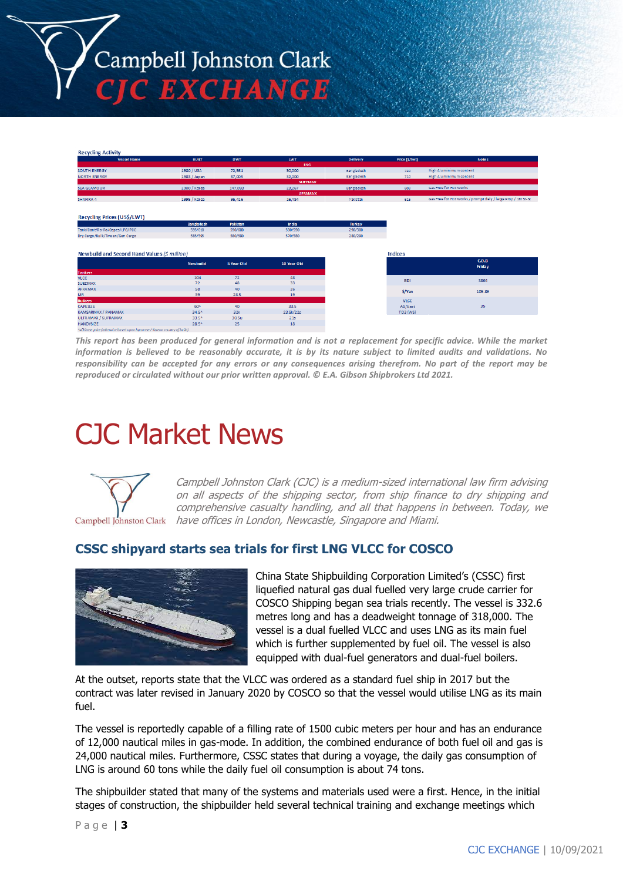Campbell Johnston Clark **C EXCHANGE** 

| <b>Vessel Name</b>                                                                              | <b>BUILT</b>      | <b>DWT</b>  | <b>LWT</b>     | <b>Delivery</b>   | Price (\$/lwt) | <b>Notes</b>                                                  |
|-------------------------------------------------------------------------------------------------|-------------------|-------------|----------------|-------------------|----------------|---------------------------------------------------------------|
|                                                                                                 |                   |             | LNG            |                   |                |                                                               |
| SOUTH ENERGY                                                                                    | 1980 / USA        | 72,561      | 30,000         | Bangladesh        | 720            | High Aluminimum content                                       |
| <b>NORTH ENERGY</b>                                                                             | 1983 / Japan      | 67,005      | 32,000         | <b>Bangladesh</b> | 710            | High Aluminimum content                                       |
|                                                                                                 |                   |             | <b>SUEZMAX</b> |                   |                |                                                               |
| <b>SEA GLAMOUR</b>                                                                              | 2000 / Korea      | 147,093     | 23,267         | Bangladesh        | 603            | Gas Free for Hot Works                                        |
|                                                                                                 |                   |             | <b>AFRAMAX</b> |                   |                |                                                               |
| SHAFIRA 4                                                                                       | 1995 / Korea      | 95,416      | 16,484         | Pakistan          | 615            | Gas Free for Hot Works / prompt dely / large Prop / 18t St-St |
|                                                                                                 |                   |             |                |                   |                |                                                               |
|                                                                                                 |                   |             |                |                   |                |                                                               |
| Recycling Prices (US\$/LWT)                                                                     |                   |             |                |                   |                |                                                               |
|                                                                                                 | <b>Bangladesh</b> | Pakistan    | <b>India</b>   | Turkey            |                |                                                               |
| Tank/Cont/Ro-Ro/Capes/LPG/PCC                                                                   | 595/610           | 590/600     | 580/590        | 290/300           |                |                                                               |
| Dry Cargo/Bulk/Tween/Gen Cargo                                                                  | 585/595           | 580/590     | 570/580        | 280/290           |                |                                                               |
|                                                                                                 |                   |             |                |                   |                |                                                               |
| Newbuild and Second Hand Values (\$ million)                                                    |                   |             |                |                   |                |                                                               |
|                                                                                                 |                   |             |                |                   | <b>Indices</b> |                                                               |
|                                                                                                 | <b>Newbuild</b>   | 5 Year Old  | 10 Year Old    |                   |                | C.O.B                                                         |
|                                                                                                 |                   |             |                |                   |                | Friday                                                        |
|                                                                                                 |                   |             |                |                   |                |                                                               |
|                                                                                                 | 104               | 72          | 48             |                   | <b>BDI</b>     | 3864                                                          |
|                                                                                                 | 72                | 48          | 33             |                   |                |                                                               |
|                                                                                                 | 58                | 40          | 26             |                   | S/Yen          | 109.89                                                        |
|                                                                                                 | 39                | 28.5        | 19             |                   |                |                                                               |
|                                                                                                 |                   |             |                |                   | <b>VLCC</b>    |                                                               |
| <b>Tankers</b><br><b>VLCC</b><br><b>SUEZMAX</b><br>AFRAMAX<br>MR.<br><b>Bulkers</b><br>CAPESIZE | 60^               | 40          | 33.5           |                   | AG/East        | 35                                                            |
|                                                                                                 | 34.5^             | 32k         | 23.5k/22p      |                   | TD3 (WS)       |                                                               |
| KAMSARMAX / PANAMAX<br>ULTRAMAX / SUPRAMAX<br><b>HANDYSIZE</b>                                  | 33.5^<br>28.5^    | 30.5u<br>25 | 21s<br>18      |                   |                |                                                               |

*This report has been produced for general information and is not a replacement for specific advice. While the market information is believed to be reasonably accurate, it is by its nature subject to limited audits and validations. No responsibility can be accepted for any errors or any consequences arising therefrom. No part of the report may be reproduced or circulated without our prior written approval. © E.A. Gibson Shipbrokers Ltd 2021.*

# CJC Market News



Campbell Johnston Clark (CJC) is a medium-sized international law firm advising on all aspects of the shipping sector, from ship finance to dry shipping and comprehensive casualty handling, and all that happens in between. Today, we have offices in London, Newcastle, Singapore and Miami.

#### **CSSC shipyard starts sea trials for first LNG VLCC for COSCO**



China State Shipbuilding Corporation Limited's (CSSC) first liquefied natural gas dual fuelled very large crude carrier for COSCO Shipping began sea trials recently. The vessel is 332.6 metres long and has a deadweight tonnage of 318,000. The vessel is a dual fuelled VLCC and uses LNG as its main fuel which is further supplemented by fuel oil. The vessel is also equipped with dual-fuel generators and dual-fuel boilers.

At the outset, reports state that the VLCC was ordered as a standard fuel ship in 2017 but the contract was later revised in January 2020 by COSCO so that the vessel would utilise LNG as its main fuel.

The vessel is reportedly capable of a filling rate of 1500 cubic meters per hour and has an endurance of 12,000 nautical miles in gas-mode. In addition, the combined endurance of both fuel oil and gas is 24,000 nautical miles. Furthermore, CSSC states that during a voyage, the daily gas consumption of LNG is around 60 tons while the daily fuel oil consumption is about 74 tons.

The shipbuilder stated that many of the systems and materials used were a first. Hence, in the initial stages of construction, the shipbuilder held several technical training and exchange meetings which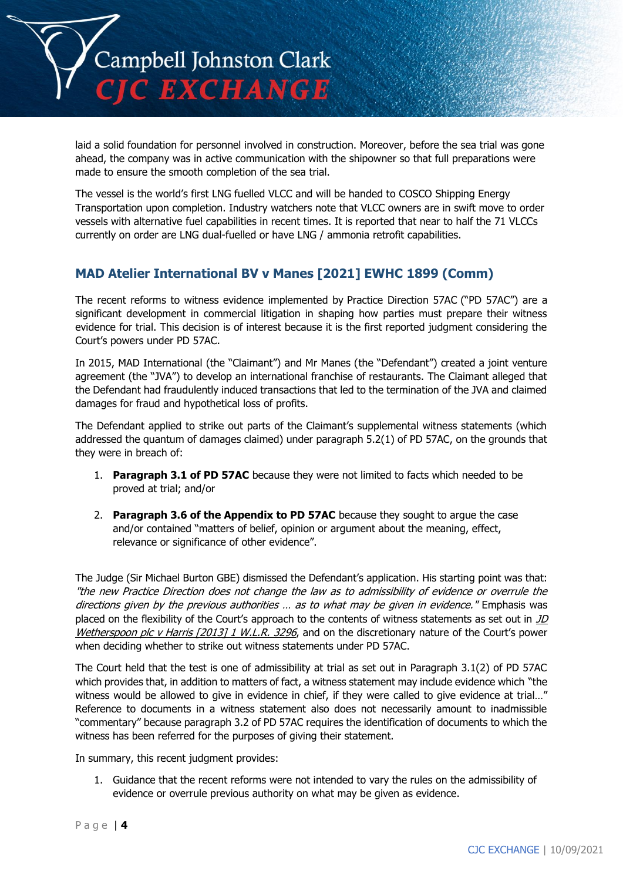

laid a solid foundation for personnel involved in construction. Moreover, before the sea trial was gone ahead, the company was in active communication with the shipowner so that full preparations were made to ensure the smooth completion of the sea trial.

The vessel is the world's first LNG fuelled VLCC and will be handed to COSCO Shipping Energy Transportation upon completion. Industry watchers note that VLCC owners are in swift move to order vessels with alternative fuel capabilities in recent times. It is reported that near to half the 71 VLCCs currently on order are LNG dual-fuelled or have LNG / ammonia retrofit capabilities.

## **MAD Atelier International BV v Manes [2021] EWHC 1899 (Comm)**

The recent reforms to witness evidence implemented by Practice Direction 57AC ("PD 57AC") are a significant development in commercial litigation in shaping how parties must prepare their witness evidence for trial. This decision is of interest because it is the first reported judgment considering the Court's powers under PD 57AC.

In 2015, MAD International (the "Claimant") and Mr Manes (the "Defendant") created a joint venture agreement (the "JVA") to develop an international franchise of restaurants. The Claimant alleged that the Defendant had fraudulently induced transactions that led to the termination of the JVA and claimed damages for fraud and hypothetical loss of profits.

The Defendant applied to strike out parts of the Claimant's supplemental witness statements (which addressed the quantum of damages claimed) under paragraph 5.2(1) of PD 57AC, on the grounds that they were in breach of:

- 1. **Paragraph 3.1 of PD 57AC** because they were not limited to facts which needed to be proved at trial; and/or
- 2. **Paragraph 3.6 of the Appendix to PD 57AC** because they sought to argue the case and/or contained "matters of belief, opinion or argument about the meaning, effect, relevance or significance of other evidence".

The Judge (Sir Michael Burton GBE) dismissed the Defendant's application. His starting point was that: "the new Practice Direction does not change the law as to admissibility of evidence or overrule the directions given by the previous authorities ... as to what may be given in evidence." Emphasis was placed on the flexibility of the Court's approach to the contents of witness statements as set out in  $JD$ Wetherspoon plc v Harris [2013] 1 W.L.R. 3296, and on the discretionary nature of the Court's power when deciding whether to strike out witness statements under PD 57AC.

The Court held that the test is one of admissibility at trial as set out in Paragraph 3.1(2) of PD 57AC which provides that, in addition to matters of fact, a witness statement may include evidence which "the witness would be allowed to give in evidence in chief, if they were called to give evidence at trial..." Reference to documents in a witness statement also does not necessarily amount to inadmissible "commentary" because paragraph 3.2 of PD 57AC requires the identification of documents to which the witness has been referred for the purposes of giving their statement.

In summary, this recent judgment provides:

1. Guidance that the recent reforms were not intended to vary the rules on the admissibility of evidence or overrule previous authority on what may be given as evidence.